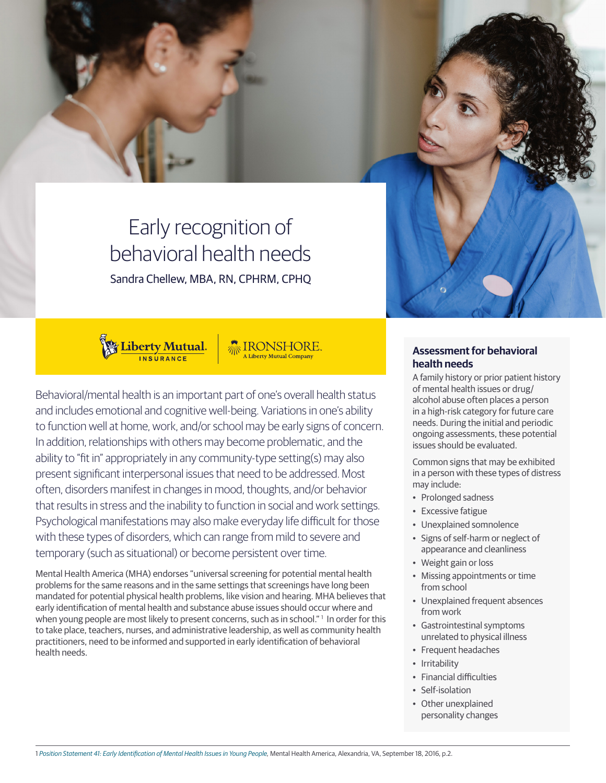

# Early recognition of behavioral health needs Sandra Chellew, MBA, RN, CPHRM, CPHQ



Behavioral/mental health is an important part of one's overall health status and includes emotional and cognitive well-being. Variations in one's ability to function well at home, work, and/or school may be early signs of concern. In addition, relationships with others may become problematic, and the ability to "fit in" appropriately in any community-type setting(s) may also present significant interpersonal issues that need to be addressed. Most often, disorders manifest in changes in mood, thoughts, and/or behavior that results in stress and the inability to function in social and work settings. Psychological manifestations may also make everyday life difficult for those with these types of disorders, which can range from mild to severe and temporary (such as situational) or become persistent over time.

Mental Health America (MHA) endorses "universal screening for potential mental health problems for the same reasons and in the same settings that screenings have long been mandated for potential physical health problems, like vision and hearing. MHA believes that early identification of mental health and substance abuse issues should occur where and when young people are most likely to present concerns, such as in school." In order for this to take place, teachers, nurses, and administrative leadership, as well as community health practitioners, need to be informed and supported in early identification of behavioral health needs.

# **Assessment for behavioral health needs**

A family history or prior patient history of mental health issues or drug/ alcohol abuse often places a person in a high-risk category for future care needs. During the initial and periodic ongoing assessments, these potential issues should be evaluated.

Common signs that may be exhibited in a person with these types of distress may include:

- Prolonged sadness
- Excessive fatigue
- Unexplained somnolence
- Signs of self-harm or neglect of appearance and cleanliness
- Weight gain or loss
- Missing appointments or time from school
- Unexplained frequent absences from work
- Gastrointestinal symptoms unrelated to physical illness
- Frequent headaches
- Irritability
- Financial difficulties
- Self-isolation
- Other unexplained personality changes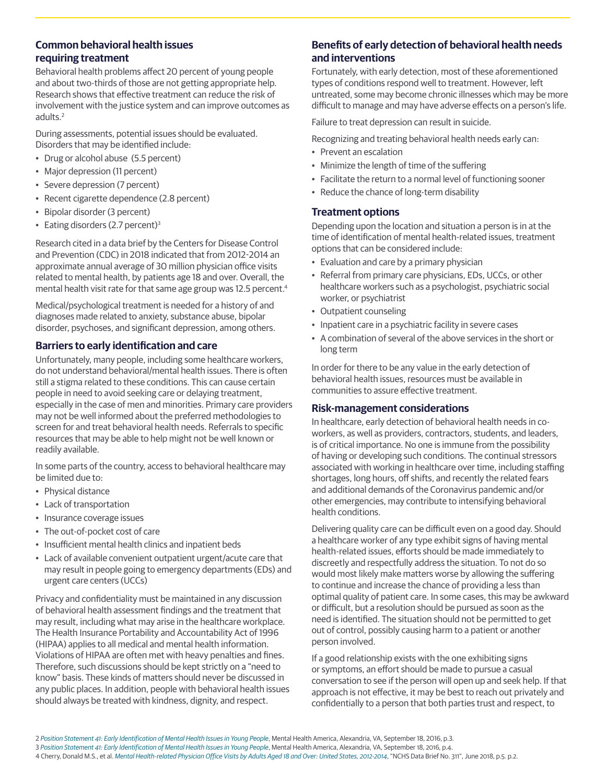## **Common behavioral health issues requiring treatment**

Behavioral health problems affect 20 percent of young people and about two-thirds of those are not getting appropriate help. Research shows that effective treatment can reduce the risk of involvement with the justice system and can improve outcomes as adults.2

During assessments, potential issues should be evaluated. Disorders that may be identified include:

- Drug or alcohol abuse (5.5 percent)
- Major depression (11 percent)
- Severe depression (7 percent)
- Recent cigarette dependence (2.8 percent)
- Bipolar disorder (3 percent)
- Eating disorders  $(2.7$  percent $)^3$

Research cited in a data brief by the Centers for Disease Control and Prevention (CDC) in 2018 indicated that from 2012-2014 an approximate annual average of 30 million physician office visits related to mental health, by patients age 18 and over. Overall, the mental health visit rate for that same age group was 12.5 percent.<sup>4</sup>

Medical/psychological treatment is needed for a history of and diagnoses made related to anxiety, substance abuse, bipolar disorder, psychoses, and significant depression, among others.

# **Barriers to early identification and care**

Unfortunately, many people, including some healthcare workers, do not understand behavioral/mental health issues. There is often still a stigma related to these conditions. This can cause certain people in need to avoid seeking care or delaying treatment, especially in the case of men and minorities. Primary care providers may not be well informed about the preferred methodologies to screen for and treat behavioral health needs. Referrals to specific resources that may be able to help might not be well known or readily available.

In some parts of the country, access to behavioral healthcare may be limited due to:

- Physical distance
- Lack of transportation
- Insurance coverage issues
- The out-of-pocket cost of care
- Insufficient mental health clinics and inpatient beds
- Lack of available convenient outpatient urgent/acute care that may result in people going to emergency departments (EDs) and urgent care centers (UCCs)

Privacy and confidentiality must be maintained in any discussion of behavioral health assessment findings and the treatment that may result, including what may arise in the healthcare workplace. The Health Insurance Portability and Accountability Act of 1996 (HIPAA) applies to all medical and mental health information. Violations of HIPAA are often met with heavy penalties and fines. Therefore, such discussions should be kept strictly on a "need to know" basis. These kinds of matters should never be discussed in any public places. In addition, people with behavioral health issues should always be treated with kindness, dignity, and respect.

# **Benefits of early detection of behavioral health needs and interventions**

Fortunately, with early detection, most of these aforementioned types of conditions respond well to treatment. However, left untreated, some may become chronic illnesses which may be more difficult to manage and may have adverse effects on a person's life.

Failure to treat depression can result in suicide.

Recognizing and treating behavioral health needs early can:

- Prevent an escalation
- Minimize the length of time of the suffering
- Facilitate the return to a normal level of functioning sooner
- Reduce the chance of long-term disability

### **Treatment options**

Depending upon the location and situation a person is in at the time of identification of mental health-related issues, treatment options that can be considered include:

- Evaluation and care by a primary physician
- Referral from primary care physicians, EDs, UCCs, or other healthcare workers such as a psychologist, psychiatric social worker, or psychiatrist
- Outpatient counseling
- Inpatient care in a psychiatric facility in severe cases
- A combination of several of the above services in the short or long term

In order for there to be any value in the early detection of behavioral health issues, resources must be available in communities to assure effective treatment.

### **Risk-management considerations**

In healthcare, early detection of behavioral health needs in coworkers, as well as providers, contractors, students, and leaders, is of critical importance. No one is immune from the possibility of having or developing such conditions. The continual stressors associated with working in healthcare over time, including staffing shortages, long hours, off shifts, and recently the related fears and additional demands of the Coronavirus pandemic and/or other emergencies, may contribute to intensifying behavioral health conditions.

Delivering quality care can be difficult even on a good day. Should a healthcare worker of any type exhibit signs of having mental health-related issues, efforts should be made immediately to discreetly and respectfully address the situation. To not do so would most likely make matters worse by allowing the suffering to continue and increase the chance of providing a less than optimal quality of patient care. In some cases, this may be awkward or difficult, but a resolution should be pursued as soon as the need is identified. The situation should not be permitted to get out of control, possibly causing harm to a patient or another person involved.

If a good relationship exists with the one exhibiting signs or symptoms, an effort should be made to pursue a casual conversation to see if the person will open up and seek help. If that approach is not effective, it may be best to reach out privately and confidentially to a person that both parties trust and respect, to